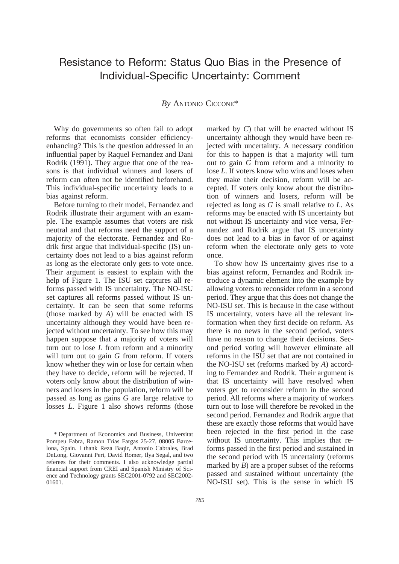# Resistance to Reform: Status Quo Bias in the Presence of Individual-Specific Uncertainty: Comment

## By ANTONIO CICCONE\*

Why do governments so often fail to adopt reforms that economists consider efficiencyenhancing? This is the question addressed in an influential paper by Raquel Fernandez and Dani Rodrik (1991). They argue that one of the reasons is that individual winners and losers of reform can often not be identified beforehand. This individual-specific uncertainty leads to a bias against reform.

Before turning to their model, Fernandez and Rodrik illustrate their argument with an example. The example assumes that voters are risk neutral and that reforms need the support of a majority of the electorate. Fernandez and Rodrik first argue that individual-specific (IS) uncertainty does not lead to a bias against reform as long as the electorate only gets to vote once. Their argument is easiest to explain with the help of Figure 1. The ISU set captures all reforms passed with IS uncertainty. The NO-ISU set captures all reforms passed without IS uncertainty. It can be seen that some reforms (those marked by  $A$ ) will be enacted with IS uncertainty although they would have been rejected without uncertainty. To see how this may happen suppose that a majority of voters will turn out to lose  $L$  from reform and a minority will turn out to gain  $G$  from reform. If voters know whether they win or lose for certain when they have to decide, reform will be rejected. If voters only know about the distribution of winners and losers in the population, reform will be passed as long as gains  $G$  are large relative to losses L. Figure 1 also shows reforms (those

marked by  $C$ ) that will be enacted without IS uncertainty although they would have been rejected with uncertainty. A necessary condition for this to happen is that a majority will turn out to gain G from reform and a minority to lose L. If voters know who wins and loses when they make their decision, reform will be accepted. If voters only know about the distribution of winners and losers, reform will be rejected as long as  $G$  is small relative to  $L$ . As reforms may be enacted with IS uncertainty but not without IS uncertainty and vice versa, Fernandez and Rodrik argue that IS uncertainty does not lead to a bias in favor of or against reform when the electorate only gets to vote once.

To show how IS uncertainty gives rise to a bias against reform, Fernandez and Rodrik introduce a dynamic element into the example by allowing voters to reconsider reform in a second period. They argue that this does not change the NO-ISU set. This is because in the case without IS uncertainty, voters have all the relevant information when they first decide on reform. As there is no news in the second period, voters have no reason to change their decisions. Second period voting will however eliminate all reforms in the ISU set that are not contained in the NO-ISU set (reforms marked by A) according to Fernandez and Rodrik. Their argument is that IS uncertainty will have resolved when voters get to reconsider reform in the second period. All reforms where a majority of workers turn out to lose will therefore be revoked in the second period. Fernandez and Rodrik argue that these are exactly those reforms that would have been rejected in the first period in the case without IS uncertainty. This implies that reforms passed in the first period and sustained in the second period with IS uncertainty (reforms marked by  $B$ ) are a proper subset of the reforms passed and sustained without uncertainty (the NO-ISU set). This is the sense in which IS

<sup>\*</sup> Department of Economics and Business, Universitat Pompeu Fabra, Ramon Trias Fargas 25-27, 08005 Barcelona, Spain. I thank Reza Baqir, Antonio Cabrales, Brad DeLong, Giovanni Peri, David Romer, Ilya Segal, and two referees for their comments. I also acknowledge partial financial support from CREI and Spanish Ministry of Science and Technology grants SEC2001-0792 and SEC2002-01601.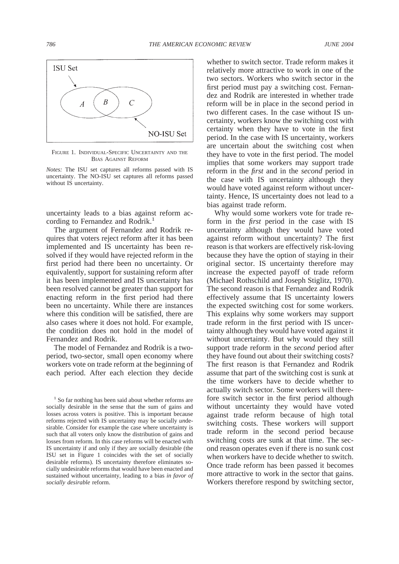

FIGURE 1. INDIVIDUAL-SPECIFIC UNCERTAINTY AND THE **BIAS AGAINST REFORM** 

uncertainty leads to a bias against reform according to Fernandez and Rodrik.<sup>1</sup>

The argument of Fernandez and Rodrik requires that voters reject reform after it has been implemented and IS uncertainty has been resolved if they would have rejected reform in the first period had there been no uncertainty. Or equivalently, support for sustaining reform after it has been implemented and IS uncertainty has been resolved cannot be greater than support for enacting reform in the first period had there been no uncertainty. While there are instances where this condition will be satisfied, there are also cases where it does not hold. For example, the condition does not hold in the model of Fernandez and Rodrik.

The model of Fernandez and Rodrik is a twoperiod, two-sector, small open economy where workers vote on trade reform at the beginning of each period. After each election they decide

whether to switch sector. Trade reform makes it relatively more attractive to work in one of the two sectors. Workers who switch sector in the first period must pay a switching cost. Fernandez and Rodrik are interested in whether trade reform will be in place in the second period in two different cases. In the case without IS uncertainty, workers know the switching cost with certainty when they have to vote in the first period. In the case with IS uncertainty, workers are uncertain about the switching cost when they have to vote in the first period. The model implies that some workers may support trade reform in the *first* and in the *second* period in the case with IS uncertainty although they would have voted against reform without uncertainty. Hence, IS uncertainty does not lead to a bias against trade reform.

Why would some workers vote for trade reform in the *first* period in the case with IS uncertainty although they would have voted against reform without uncertainty? The first reason is that workers are effectively risk-loving because they have the option of staying in their original sector. IS uncertainty therefore may increase the expected payoff of trade reform (Michael Rothschild and Joseph Stiglitz, 1970). The second reason is that Fernandez and Rodrik effectively assume that IS uncertainty lowers the expected switching cost for some workers. This explains why some workers may support trade reform in the first period with IS uncertainty although they would have voted against it without uncertainty. But why would they still support trade reform in the *second* period after they have found out about their switching costs? The first reason is that Fernandez and Rodrik assume that part of the switching cost is sunk at the time workers have to decide whether to actually switch sector. Some workers will therefore switch sector in the first period although without uncertainty they would have voted against trade reform because of high total switching costs. These workers will support trade reform in the second period because switching costs are sunk at that time. The second reason operates even if there is no sunk cost when workers have to decide whether to switch. Once trade reform has been passed it becomes more attractive to work in the sector that gains. Workers therefore respond by switching sector,

Notes: The ISU set captures all reforms passed with IS uncertainty. The NO-ISU set captures all reforms passed without IS uncertainty.

 $1$  So far nothing has been said about whether reforms are socially desirable in the sense that the sum of gains and losses across voters is positive. This is important because reforms rejected with IS uncertainty may be socially undesirable. Consider for example the case where uncertainty is such that all voters only know the distribution of gains and losses from reform. In this case reforms will be enacted with IS uncertainty if and only if they are socially desirable (the ISU set in Figure 1 coincides with the set of socially desirable reforms). IS uncertainty therefore eliminates socially undesirable reforms that would have been enacted and sustained without uncertainty, leading to a bias in favor of socially desirable reform.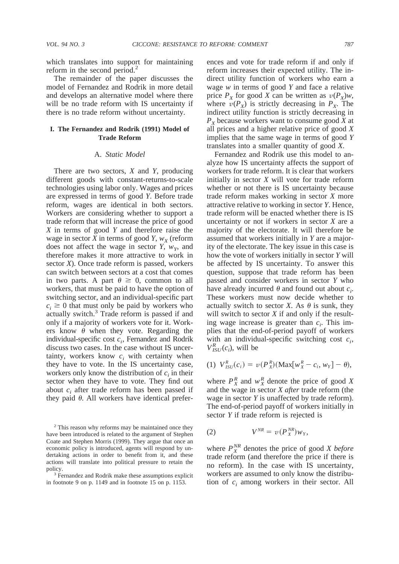which translates into support for maintaining reform in the second period.<sup>2</sup>

The remainder of the paper discusses the model of Fernandez and Rodrik in more detail and develops an alternative model where there will be no trade reform with IS uncertainty if there is no trade reform without uncertainty.

## I. The Fernandez and Rodrik (1991) Model of **Trade Reform**

### A. Static Model

There are two sectors,  $X$  and  $Y$ , producing different goods with constant-returns-to-scale technologies using labor only. Wages and prices are expressed in terms of good Y. Before trade reform, wages are identical in both sectors. Workers are considering whether to support a trade reform that will increase the price of good  $X$  in terms of good  $Y$  and therefore raise the wage in sector X in terms of good Y,  $w_X$  (reform does not affect the wage in sector  $Y$ ,  $w<sub>y</sub>$ , and therefore makes it more attractive to work in sector  $X$ ). Once trade reform is passed, workers can switch between sectors at a cost that comes in two parts. A part  $\theta \geq 0$ , common to all workers, that must be paid to have the option of switching sector, and an individual-specific part  $c_i \geq 0$  that must only be paid by workers who actually switch.<sup>3</sup> Trade reform is passed if and only if a majority of workers vote for it. Workers know  $\theta$  when they vote. Regarding the individual-specific cost  $c_i$ , Fernandez and Rodrik discuss two cases. In the case without IS uncertainty, workers know  $c_i$  with certainty when they have to vote. In the IS uncertainty case, workers only know the distribution of  $c_i$  in their sector when they have to vote. They find out about  $c_i$  after trade reform has been passed if they paid  $\theta$ . All workers have identical preferences and vote for trade reform if and only if reform increases their expected utility. The indirect utility function of workers who earn a wage  $w$  in terms of good  $Y$  and face a relative price  $P_X$  for good X can be written as  $v(P_X)w$ , where  $v(P_X)$  is strictly decreasing in  $P_X$ . The indirect utility function is strictly decreasing in  $P<sub>x</sub>$  because workers want to consume good X at all prices and a higher relative price of good  $X$ implies that the same wage in terms of good Y translates into a smaller quantity of good  $X$ .

Fernandez and Rodrik use this model to analyze how IS uncertainty affects the support of workers for trade reform. It is clear that workers initially in sector  $X$  will vote for trade reform whether or not there is IS uncertainty because trade reform makes working in sector  $X$  more attractive relative to working in sector Y. Hence, trade reform will be enacted whether there is IS uncertainty or not if workers in sector  $X$  are a majority of the electorate. It will therefore be assumed that workers initially in Y are a majority of the electorate. The key issue in this case is how the vote of workers initially in sector Y will be affected by IS uncertainty. To answer this question, suppose that trade reform has been passed and consider workers in sector Y who have already incurred  $\theta$  and found out about  $c_i$ . These workers must now decide whether to actually switch to sector X. As  $\theta$  is sunk, they will switch to sector  $X$  if and only if the resulting wage increase is greater than  $c_i$ . This implies that the end-of-period payoff of workers with an individual-specific switching cost  $c_i$ ,  $V_{ISII}^R(c_i)$ , will be

(1) 
$$
V_{ISU}^R(c_i) = v(P_X^R)(\text{Max}[w_X^R - c_i, w_Y] - \theta),
$$

where  $P_X^R$  and  $w_X^R$  denote the price of good X and the wage in sector X after trade reform (the wage in sector  $Y$  is unaffected by trade reform). The end-of-period payoff of workers initially in sector Y if trade reform is rejected is

$$
(2) \tV^{NR} = v(P_X^{NR})w_Y,
$$

where  $P_X^{NR}$  denotes the price of good X before trade reform (and therefore the price if there is no reform). In the case with IS uncertainty, workers are assumed to only know the distribution of  $c_i$  among workers in their sector. All

<sup>&</sup>lt;sup>2</sup> This reason why reforms may be maintained once they have been introduced is related to the argument of Stephen Coate and Stephen Morris (1999). They argue that once an economic policy is introduced, agents will respond by undertaking actions in order to benefit from it, and these actions will translate into political pressure to retain the policy.

Fernandez and Rodrik make these assumptions explicit in footnote 9 on p. 1149 and in footnote 15 on p. 1153.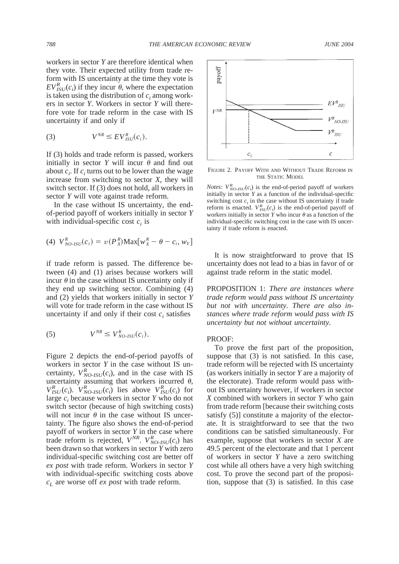workers in sector  $Y$  are therefore identical when they vote. Their expected utility from trade reform with IS uncertainty at the time they vote is  $EV_{ISU}^{R}(c_i)$  if they incur  $\theta$ , where the expectation is taken using the distribution of  $c_i$  among workers in sector Y. Workers in sector Y will therefore vote for trade reform in the case with IS uncertainty if and only if

$$
(3) \tV^{NR} \leq EV_{ISU}^R(c_i).
$$

If (3) holds and trade reform is passed, workers initially in sector Y will incur  $\theta$  and find out about  $c_i$ . If  $c_i$  turns out to be lower than the wage increase from switching to sector  $X$ , they will switch sector. If (3) does not hold, all workers in sector Y will vote against trade reform.

In the case without IS uncertainty, the endof-period payoff of workers initially in sector Y with individual-specific cost  $c_i$  is

(4) 
$$
V_{NO-ISU}^{R}(c_i) = v(P_X^R) \text{Max}[w_X^R - \theta - c_i, w_Y]
$$

if trade reform is passed. The difference between (4) and (1) arises because workers will incur  $\theta$  in the case without IS uncertainty only if they end up switching sector. Combining (4) and (2) yields that workers initially in sector Y will vote for trade reform in the case without IS uncertainty if and only if their cost  $c_i$  satisfies

$$
(5) \tV^{NR} \le V^{R}_{NO\text{-}ISU}(c_i).
$$

Figure 2 depicts the end-of-period payoffs of workers in sector  $Y$  in the case without IS uncertainty,  $V_{NO-ISU}^{R}(c_i)$ , and in the case with IS uncertainty assuming that workers incurred  $\theta$ ,  $V_{ISU}^R(c_i)$ .  $V_{NO-ISU}^R(c_i)$  lies above  $V_{ISU}^R(c_i)$  for large  $c_i$  because workers in sector Y who do not switch sector (because of high switching costs) will not incur  $\theta$  in the case without IS uncertainty. The figure also shows the end-of-period payoff of workers in sector  $Y$  in the case where trade reform is rejected,  $V^{NR}$ .  $V^{R}_{NO\text{-}ISU}(c_i)$  has been drawn so that workers in sector Y with zero individual-specific switching cost are better off ex post with trade reform. Workers in sector Y with individual-specific switching costs above  $c_L$  are worse off *ex post* with trade reform.



FIGURE 2. PAYOFF WITH AND WITHOUT TRADE REFORM IN THE STATIC MODEL

*Notes:*  $V_{NO-ISU}^{R}(c_i)$  is the end-of-period payoff of workers initially in sector  $Y$  as a function of the individual-specific switching cost  $c_i$ , in the case without IS uncertainty if trade reform is enacted.  $V_{ISU}^{R}(c_i)$  is the end-of-period payoff of workers initially in sector Y who incur  $\theta$  as a function of the individual-specific switching cost in the case with IS uncertainty if trade reform is enacted.

It is now straightforward to prove that IS uncertainty does not lead to a bias in favor of or against trade reform in the static model.

**PROPOSITION 1:** There are instances where trade reform would pass without IS uncertainty but not with uncertainty. There are also instances where trade reform would pass with IS uncertainty but not without uncertainty.

#### PROOF:

To prove the first part of the proposition, suppose that  $(3)$  is not satisfied. In this case, trade reform will be rejected with IS uncertainty (as workers initially in sector Y are a majority of the electorate). Trade reform would pass without IS uncertainty however, if workers in sector X combined with workers in sector Y who gain from trade reform [because their switching costs satisfy (5)] constitute a majority of the electorate. It is straightforward to see that the two conditions can be satisfied simultaneously. For example, suppose that workers in sector  $X$  are 49.5 percent of the electorate and that 1 percent of workers in sector Y have a zero switching cost while all others have a very high switching cost. To prove the second part of the proposition, suppose that  $(3)$  is satisfied. In this case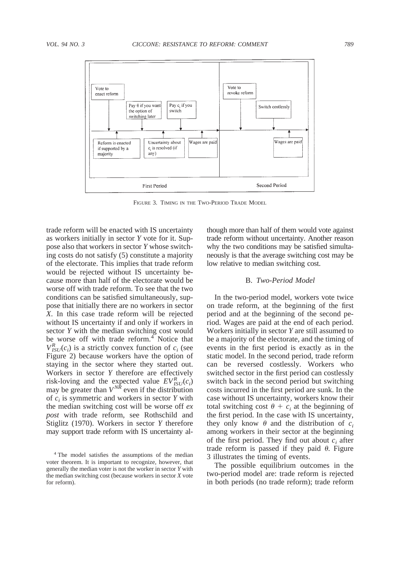

FIGURE 3. TIMING IN THE TWO-PERIOD TRADE MODEL

trade reform will be enacted with IS uncertainty as workers initially in sector Y vote for it. Suppose also that workers in sector Y whose switching costs do not satisfy (5) constitute a majority of the electorate. This implies that trade reform would be rejected without IS uncertainty because more than half of the electorate would be worse off with trade reform. To see that the two conditions can be satisfied simultaneously, suppose that initially there are no workers in sector X. In this case trade reform will be rejected without IS uncertainty if and only if workers in sector Y with the median switching cost would be worse off with trade reform.<sup>4</sup> Notice that  $V_{ISU}^{R}(c_i)$  is a strictly convex function of  $c_i$  (see Figure 2) because workers have the option of staying in the sector where they started out. Workers in sector  $Y$  therefore are effectively risk-loving and the expected value  $EV_{ISU}^R(c_i)$ <br>may be greater than  $V^{NR}$  even if the distribution of  $c_i$  is symmetric and workers in sector Y with the median switching cost will be worse off ex post with trade reform, see Rothschild and Stiglitz  $(1970)$ . Workers in sector Y therefore may support trade reform with IS uncertainty although more than half of them would vote against trade reform without uncertainty. Another reason why the two conditions may be satisfied simultaneously is that the average switching cost may be low relative to median switching cost.

#### **B.** Two-Period Model

In the two-period model, workers vote twice on trade reform, at the beginning of the first period and at the beginning of the second period. Wages are paid at the end of each period. Workers initially in sector  $Y$  are still assumed to be a majority of the electorate, and the timing of events in the first period is exactly as in the static model. In the second period, trade reform can be reversed costlessly. Workers who switched sector in the first period can costlessly switch back in the second period but switching costs incurred in the first period are sunk. In the case without IS uncertainty, workers know their total switching cost  $\theta + c_i$  at the beginning of the first period. In the case with IS uncertainty, they only know  $\theta$  and the distribution of  $c_i$ among workers in their sector at the beginning of the first period. They find out about  $c_i$  after trade reform is passed if they paid  $\theta$ . Figure 3 illustrates the timing of events.

The possible equilibrium outcomes in the two-period model are: trade reform is rejected in both periods (no trade reform); trade reform

<sup>&</sup>lt;sup>4</sup> The model satisfies the assumptions of the median voter theorem. It is important to recognize, however, that generally the median voter is not the worker in sector Y with the median switching cost (because workers in sector  $X$  vote for reform).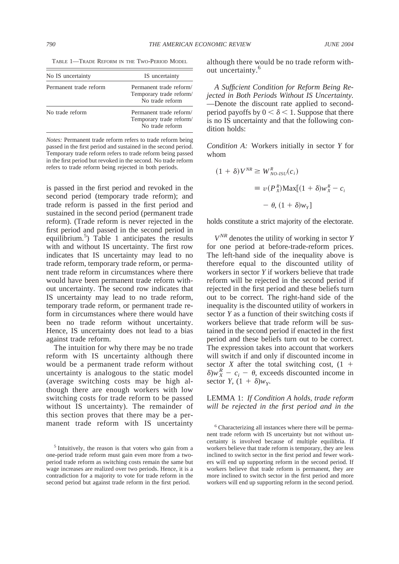| No IS uncertainty      | IS uncertainty                                                        |
|------------------------|-----------------------------------------------------------------------|
| Permanent trade reform | Permanent trade reform/<br>Temporary trade reform/<br>No trade reform |
| No trade reform        | Permanent trade reform/<br>Temporary trade reform/<br>No trade reform |

Notes: Permanent trade reform refers to trade reform being passed in the first period and sustained in the second period. Temporary trade reform refers to trade reform being passed in the first period but revoked in the second. No trade reform refers to trade reform being rejected in both periods.

is passed in the first period and revoked in the second period (temporary trade reform); and trade reform is passed in the first period and sustained in the second period (permanent trade reform). (Trade reform is never rejected in the first period and passed in the second period in equilibrium.<sup>5</sup>) Table 1 anticipates the results with and without IS uncertainty. The first row indicates that IS uncertainty may lead to no trade reform, temporary trade reform, or permanent trade reform in circumstances where there would have been permanent trade reform without uncertainty. The second row indicates that IS uncertainty may lead to no trade reform, temporary trade reform, or permanent trade reform in circumstances where there would have been no trade reform without uncertainty. Hence, IS uncertainty does not lead to a bias against trade reform.

The intuition for why there may be no trade reform with IS uncertainty although there would be a permanent trade reform without uncertainty is analogous to the static model (average switching costs may be high although there are enough workers with low switching costs for trade reform to be passed without IS uncertainty). The remainder of this section proves that there may be a permanent trade reform with IS uncertainty although there would be no trade reform without uncertainty.<sup>6</sup>

A Sufficient Condition for Reform Being Rejected in Both Periods Without IS Uncertainty. -Denote the discount rate applied to secondperiod payoffs by  $0 < \delta < 1$ . Suppose that there is no IS uncertainty and that the following condition holds:

*Condition A:* Workers initially in sector Y for whom

$$
1 + \delta V^{NR} \ge W_{NO\text{-}ISU}^R(c_i)
$$
  

$$
\equiv v(P_X^R) \text{Max}[(1 + \delta)w_X^R - c_i
$$
  

$$
- \theta, (1 + \delta)w_Y]
$$

holds constitute a strict majority of the electorate.

 $V^{NR}$  denotes the utility of working in sector Y for one period at before-trade-reform prices. The left-hand side of the inequality above is therefore equal to the discounted utility of workers in sector Y if workers believe that trade reform will be rejected in the second period if rejected in the first period and these beliefs turn out to be correct. The right-hand side of the inequality is the discounted utility of workers in sector Y as a function of their switching costs if workers believe that trade reform will be sustained in the second period if enacted in the first period and these beliefs turn out to be correct. The expression takes into account that workers will switch if and only if discounted income in sector X after the total switching cost,  $(1 +$  $\delta w_x^R - c_i - \theta$ , exceeds discounted income in sector Y,  $(1 + \delta)w_y$ .

# LEMMA 1: If Condition A holds, trade reform will be rejected in the first period and in the

<sup>6</sup> Characterizing all instances where there will be permanent trade reform with IS uncertainty but not without uncertainty is involved because of multiple equilibria. If workers believe that trade reform is temporary, they are less inclined to switch sector in the first period and fewer workers will end up supporting reform in the second period. If workers believe that trade reform is permanent, they are more inclined to switch sector in the first period and more workers will end up supporting reform in the second period.

<sup>&</sup>lt;sup>5</sup> Intuitively, the reason is that voters who gain from a one-period trade reform must gain even more from a twoperiod trade reform as switching costs remain the same but wage increases are realized over two periods. Hence, it is a contradiction for a majority to vote for trade reform in the second period but against trade reform in the first period.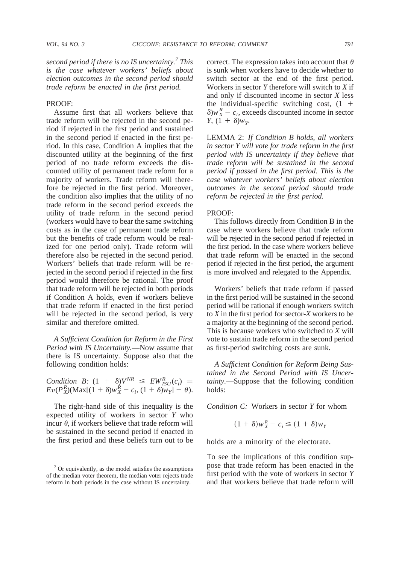second period if there is no IS uncertainty.<sup>7</sup> This is the case whatever workers' beliefs about election outcomes in the second period should trade reform be enacted in the first period.

## PROOF:

Assume first that all workers believe that trade reform will be rejected in the second period if rejected in the first period and sustained in the second period if enacted in the first period. In this case, Condition A implies that the discounted utility at the beginning of the first period of no trade reform exceeds the discounted utility of permanent trade reform for a majority of workers. Trade reform will therefore be rejected in the first period. Moreover, the condition also implies that the utility of no trade reform in the second period exceeds the utility of trade reform in the second period (workers would have to bear the same switching costs as in the case of permanent trade reform but the benefits of trade reform would be realized for one period only). Trade reform will therefore also be rejected in the second period. Workers' beliefs that trade reform will be rejected in the second period if rejected in the first period would therefore be rational. The proof that trade reform will be rejected in both periods if Condition A holds, even if workers believe that trade reform if enacted in the first period will be rejected in the second period, is very similar and therefore omitted.

A Sufficient Condition for Reform in the First Period with IS Uncertainty.-Now assume that there is IS uncertainty. Suppose also that the following condition holds:

Condition B: 
$$
(1 + \delta)V^{NR} \le EW_{ISU}^R(c_i) \equiv
$$
  
\n $Ev(P_X^R)(\text{Max}[(1 + \delta)w_X^R - c_i, (1 + \delta)w_Y] - \theta).$ 

The right-hand side of this inequality is the expected utility of workers in sector Y who incur  $\theta$ , if workers believe that trade reform will be sustained in the second period if enacted in the first period and these beliefs turn out to be correct. The expression takes into account that  $\theta$ is sunk when workers have to decide whether to switch sector at the end of the first period. Workers in sector  $Y$  therefore will switch to  $X$  if and only if discounted income in sector  $X$  less the individual-specific switching cost,  $(1 +$  $\delta$ )w<sup>R</sup> – c<sub>i</sub>, exceeds discounted income in sector  $Y, (1 + \delta)w_{y}$ 

**LEMMA 2:** If Condition B holds, all workers in sector Y will vote for trade reform in the first period with IS uncertainty if they believe that trade reform will be sustained in the second period if passed in the first period. This is the case whatever workers' beliefs about election outcomes in the second period should trade reform be rejected in the first period.

#### PROOF:

This follows directly from Condition B in the case where workers believe that trade reform will be rejected in the second period if rejected in the first period. In the case where workers believe that trade reform will be enacted in the second period if rejected in the first period, the argument is more involved and relegated to the Appendix.

Workers' beliefs that trade reform if passed in the first period will be sustained in the second period will be rational if enough workers switch to X in the first period for sector-X workers to be a majority at the beginning of the second period. This is because workers who switched to X will vote to sustain trade reform in the second period as first-period switching costs are sunk.

A Sufficient Condition for Reform Being Sustained in the Second Period with IS Uncertainty.—Suppose that the following condition holds:

*Condition C:* Workers in sector *Y* for whom

$$
(1 + \delta)w_X^R - c_i \le (1 + \delta)w_Y
$$

holds are a minority of the electorate.

To see the implications of this condition suppose that trade reform has been enacted in the first period with the vote of workers in sector  $Y$ and that workers believe that trade reform will

 $7$  Or equivalently, as the model satisfies the assumptions of the median voter theorem, the median voter rejects trade reform in both periods in the case without IS uncertainty.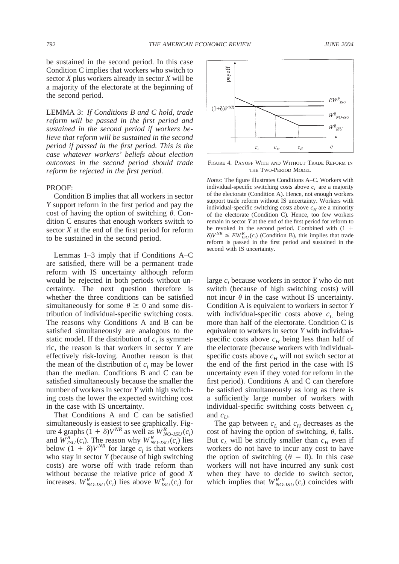be sustained in the second period. In this case Condition C implies that workers who switch to sector  $X$  plus workers already in sector  $X$  will be a majority of the electorate at the beginning of the second period.

LEMMA 3: If Conditions B and C hold, trade reform will be passed in the first period and sustained in the second period if workers believe that reform will be sustained in the second period if passed in the first period. This is the case whatever workers' beliefs about election outcomes in the second period should trade reform be rejected in the first period.

#### PROOF:

Condition B implies that all workers in sector Y support reform in the first period and pay the cost of having the option of switching  $\theta$ . Condition C ensures that enough workers switch to sector  $X$  at the end of the first period for reform to be sustained in the second period.

Lemmas  $1-3$  imply that if Conditions A-C are satisfied, there will be a permanent trade reform with IS uncertainty although reform would be rejected in both periods without uncertainty. The next question therefore is whether the three conditions can be satisfied simultaneously for some  $\theta \ge 0$  and some distribution of individual-specific switching costs. The reasons why Conditions A and B can be satisfied simultaneously are analogous to the static model. If the distribution of  $c_i$  is symmetric, the reason is that workers in sector  $Y$  are effectively risk-loving. Another reason is that the mean of the distribution of  $c_i$  may be lower than the median. Conditions B and C can be satisfied simultaneously because the smaller the number of workers in sector Y with high switching costs the lower the expected switching cost in the case with IS uncertainty.

That Conditions A and C can be satisfied simultaneously is easiest to see graphically. Figure 4 graphs  $(1 + \delta)V^{NR}$  as well as  $W^{R}_{NO-ISU}(c_i)$ and  $W_{ISU}^{R}$  (c<sub>i</sub>). The reason why  $W_{NO-ISU}^{R}$  (c<sub>i</sub>) lies<br>below  $(1 + \delta)V^{NR}$  for large c<sub>i</sub> is that workers who stay in sector  $Y$  (because of high switching costs) are worse off with trade reform than without because the relative price of good  $X$ increases.  $W_{NO-ISU}^{R}(c_i)$  lies above  $W_{ISU}^{R}(c_i)$  for



FIGURE 4. PAYOFF WITH AND WITHOUT TRADE REFORM IN THE TWO-PERIOD MODEL

Notes: The figure illustrates Conditions A-C. Workers with individual-specific switching costs above  $c_L$  are a majority of the electorate (Condition A). Hence, not enough workers support trade reform without IS uncertainty. Workers with individual-specific switching costs above  $c<sub>H</sub>$  are a minority of the electorate (Condition C). Hence, too few workers remain in sector  $Y$  at the end of the first period for reform to be revoked in the second period. Combined with  $(1 +$  $\delta V^{NR} \leq E W_{ISU}^R(c_i)$  (Condition B), this implies that trade reform is passed in the first period and sustained in the second with IS uncertainty.

large  $c_i$  because workers in sector Y who do not switch (because of high switching costs) will not incur  $\theta$  in the case without IS uncertainty. Condition A is equivalent to workers in sector  $Y$ with individual-specific costs above  $c_L$  being more than half of the electorate. Condition C is equivalent to workers in sector Y with individualspecific costs above  $c_H$  being less than half of the electorate (because workers with individualspecific costs above  $c_H$  will not switch sector at the end of the first period in the case with IS uncertainty even if they voted for reform in the first period). Conditions A and C can therefore be satisfied simultaneously as long as there is a sufficiently large number of workers with individual-specific switching costs between  $c_L$ and  $c_{U}$ .

The gap between  $c_L$  and  $c_H$  decreases as the cost of having the option of switching,  $\theta$ , falls. But  $c_L$  will be strictly smaller than  $c_H$  even if workers do not have to incur any cost to have the option of switching ( $\theta = 0$ ). In this case workers will not have incurred any sunk cost when they have to decide to switch sector, which implies that  $W_{NO-ISU}^{R}(c_i)$  coincides with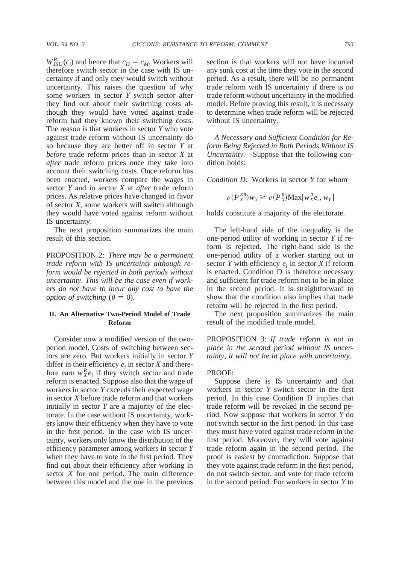$W_{ISU}^{R}(c_i)$  and hence that  $c_H = c_M$ . Workers will therefore switch sector in the case with IS uncertainty if and only they would switch without uncertainty. This raises the question of why some workers in sector Y switch sector after they find out about their switching costs although they would have voted against trade reform had they known their switching costs. The reason is that workers in sector  $Y$  who vote against trade reform without IS uncertainty do so because they are better off in sector  $Y$  at before trade reform prices than in sector  $X$  at *after* trade reform prices once they take into account their switching costs. Once reform has been enacted, workers compare the wages in sector  $Y$  and in sector  $X$  at *after* trade reform prices. As relative prices have changed in favor of sector X, some workers will switch although they would have voted against reform without IS uncertainty.

The next proposition summarizes the main result of this section.

PROPOSITION 2: There may be a permanent trade reform with IS uncertainty although reform would be rejected in both periods without uncertainty. This will be the case even if workers do not have to incur any cost to have the *option of switching*  $(\theta = 0)$ .

# II. An Alternative Two-Period Model of Trade Reform

Consider now a modified version of the twoperiod model. Costs of switching between sectors are zero. But workers initially in sector Y differ in their efficiency  $e_i$  in sector X and therefore earn  $w_x^R e_i$  if they switch sector and trade reform is enacted. Suppose also that the wage of workers in sector Y exceeds their expected wage in sector  $X$  before trade reform and that workers initially in sector  $Y$  are a majority of the electorate. In the case without IS uncertainty, workers know their efficiency when they have to vote in the first period. In the case with IS uncertainty, workers only know the distribution of the efficiency parameter among workers in sector Y when they have to vote in the first period. They find out about their efficiency after working in sector X for one period. The main difference between this model and the one in the previous

section is that workers will not have incurred any sunk cost at the time they vote in the second period. As a result, there will be no permanent trade reform with IS uncertainty if there is no trade reform without uncertainty in the modified model. Before proving this result, it is necessary to determine when trade reform will be rejected without IS uncertainty.

A Necessary and Sufficient Condition for Reform Being Rejected in Both Periods Without IS *Uncertainty*.—Suppose that the following condition holds:

*Condition D:* Workers in sector *Y* for whom

$$
\nu(P_X^{NR})w_Y \geq \nu(P_X^{R})\text{Max}[w_X^{R}e_i, w_Y]
$$

holds constitute a majority of the electorate.

The left-hand side of the inequality is the one-period utility of working in sector Y if reform is rejected. The right-hand side is the one-period utility of a worker starting out in sector Y with efficiency  $e_i$  in sector X if reform is enacted. Condition D is therefore necessary and sufficient for trade reform not to be in place in the second period. It is straightforward to show that the condition also implies that trade reform will be rejected in the first period.

The next proposition summarizes the main result of the modified trade model.

PROPOSITION 3: If trade reform is not in place in the second period without IS uncertainty, it will not be in place with uncertainty.

#### PROOF:

Suppose there is IS uncertainty and that workers in sector  $Y$  switch sector in the first period. In this case Condition D implies that trade reform will be revoked in the second period. Now suppose that workers in sector Y do not switch sector in the first period. In this case they must have voted against trade reform in the first period. Moreover, they will vote against trade reform again in the second period. The proof is easiest by contradiction. Suppose that they vote against trade reform in the first period, do not switch sector, and vote for trade reform in the second period. For workers in sector  $Y$  to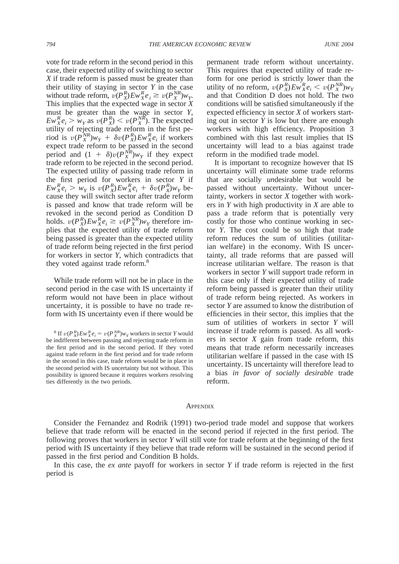vote for trade reform in the second period in this case, their expected utility of switching to sector X if trade reform is passed must be greater than their utility of staying in sector  $Y$  in the case without trade reform,  $v(P_X^R) E w_X^R e_i \ge v(P_X^{NR}) w_Y$ . This implies that the expected wage in sector  $X$ must be greater than the wage in sector Y,  $Ew_{X}^{R}e_{i} > w_{Y}$  as  $v(P_{X}^{R}) < v(P_{X}^{N\overline{R}})$ . The expected utility of rejecting trade reform in the first period is  $v(P_X^{NR})w_Y + \delta v(P_X^R)Ew_X^Re_i$  if workers expect trade reform to be passed in the second period and  $(1 + \delta)v(P_X^{\overline{M}})w_Y$  if they expect trade reform to be rejected in the second period. The expected utility of passing trade reform in the first period for workers in sector  $Y$  if  $Ew_{X}^{R}e_{i} > w_{Y}$  is  $v(P_{X}^{R})Ew_{X}^{R}e_{i} + \delta v(P_{X}^{R})w_{Y}$  because they will switch sector after trade reform is passed and know that trade reform will be revoked in the second period as Condition D holds.  $v(P_X^R) E w_X^R e_i \ge v(P_X^{NR}) w_Y$  therefore implies that the expected utility of trade reform being passed is greater than the expected utility of trade reform being rejected in the first period for workers in sector Y, which contradicts that they voted against trade reform.<sup>8</sup>

While trade reform will not be in place in the second period in the case with IS uncertainty if reform would not have been in place without uncertainty, it is possible to have no trade reform with IS uncertainty even if there would be

permanent trade reform without uncertainty. This requires that expected utility of trade reform for one period is strictly lower than the utility of no reform,  $v(P_X^R) E w_X^R e_i < v(P_X^{NR}) w_Y$ and that Condition D does not hold. The two conditions will be satisfied simultaneously if the expected efficiency in sector  $X$  of workers starting out in sector  $Y$  is low but there are enough workers with high efficiency. Proposition 3 combined with this last result implies that IS uncertainty will lead to a bias against trade reform in the modified trade model.

It is important to recognize however that IS uncertainty will eliminate some trade reforms that are socially *undesirable* but would be passed without uncertainty. Without uncertainty, workers in sector X together with workers in  $Y$  with high productivity in  $X$  are able to pass a trade reform that is potentially very costly for those who continue working in sector Y. The cost could be so high that trade reform reduces the sum of utilities (utilitarian welfare) in the economy. With IS uncertainty, all trade reforms that are passed will increase utilitarian welfare. The reason is that workers in sector Y will support trade reform in this case only if their expected utility of trade reform being passed is greater than their utility of trade reform being rejected. As workers in sector Y are assumed to know the distribution of efficiencies in their sector, this implies that the sum of utilities of workers in sector Y will increase if trade reform is passed. As all workers in sector  $X$  gain from trade reform, this means that trade reform necessarily increases utilitarian welfare if passed in the case with IS uncertainty. IS uncertainty will therefore lead to a bias in favor of socially desirable trade reform.

#### APPENDIX

Consider the Fernandez and Rodrik (1991) two-period trade model and suppose that workers believe that trade reform will be enacted in the second period if rejected in the first period. The following proves that workers in sector Y will still vote for trade reform at the beginning of the first period with IS uncertainty if they believe that trade reform will be sustained in the second period if passed in the first period and Condition B holds.

In this case, the *ex ante* payoff for workers in sector  $Y$  if trade reform is rejected in the first period is

<sup>&</sup>lt;sup>8</sup> If  $v(P_X^R) E w_X^R e_i = v(P_X^{NR}) w_Y$  workers in sector Y would be indifferent between passing and rejecting trade reform in the first period and in the second period. If they voted against trade reform in the first period and for trade reform in the second in this case, trade reform would be in place in the second period with IS uncertainty but not without. This possibility is ignored because it requires workers resolving ties differently in the two periods.